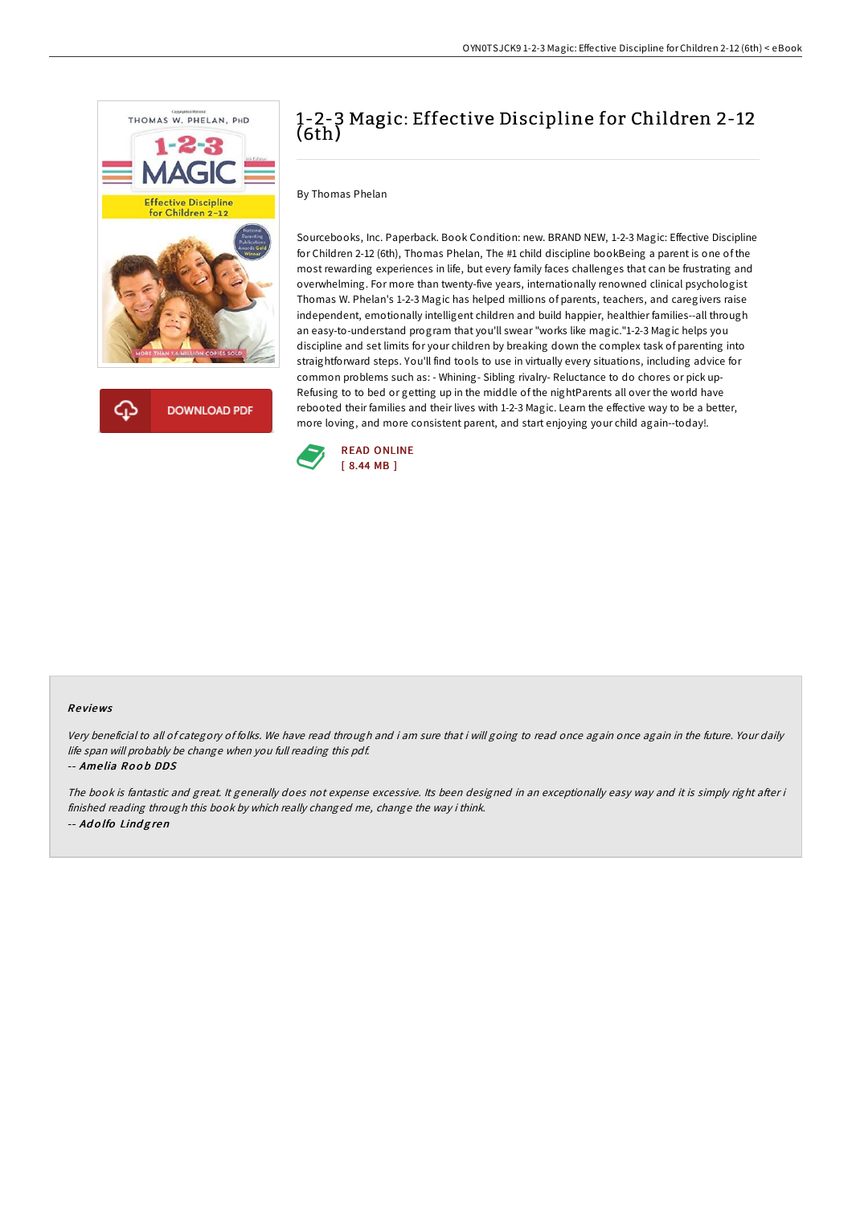

**DOWNLOAD PDF** 

## 1-2-3 Magic: Effective Discipline for Children 2-12 (6th)

By Thomas Phelan

Sourcebooks, Inc. Paperback. Book Condition: new. BRAND NEW, 1-2-3 Magic: Effective Discipline for Children 2-12 (6th), Thomas Phelan, The #1 child discipline bookBeing a parent is one of the most rewarding experiences in life, but every family faces challenges that can be frustrating and overwhelming. For more than twenty-five years, internationally renowned clinical psychologist Thomas W. Phelan's 1-2-3 Magic has helped millions of parents, teachers, and caregivers raise independent, emotionally intelligent children and build happier, healthier families--all through an easy-to-understand program that you'll swear "works like magic."1-2-3 Magic helps you discipline and set limits for your children by breaking down the complex task of parenting into straightforward steps. You'll find tools to use in virtually every situations, including advice for common problems such as: - Whining- Sibling rivalry- Reluctance to do chores or pick up-Refusing to to bed or getting up in the middle of the nightParents all over the world have rebooted their families and their lives with 1-2-3 Magic. Learn the effective way to be a better, more loving, and more consistent parent, and start enjoying your child again--today!.



## Re views

Very beneficial to all of category of folks. We have read through and i am sure that i will going to read once again once again in the future. Your daily life span will probably be change when you full reading this pdf.

-- Amelia Roob DDS

The book is fantastic and great. It generally does not expense excessive. Its been designed in an exceptionally easy way and it is simply right after i finished reading through this book by which really changed me, change the way i think. -- Ad <sup>o</sup> lfo Lind g ren